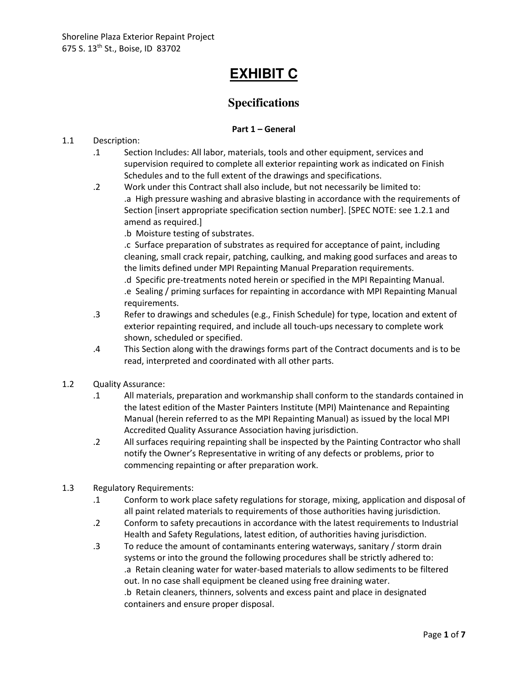# **EXHIBIT C**

# **Specifications**

# **Part 1 – General**

# 1.1 Description:

- .1 Section Includes: All labor, materials, tools and other equipment, services and supervision required to complete all exterior repainting work as indicated on Finish Schedules and to the full extent of the drawings and specifications.
- .2 Work under this Contract shall also include, but not necessarily be limited to: .a High pressure washing and abrasive blasting in accordance with the requirements of Section [insert appropriate specification section number]. [SPEC NOTE: see 1.2.1 and amend as required.]
	- .b Moisture testing of substrates.

.c Surface preparation of substrates as required for acceptance of paint, including cleaning, small crack repair, patching, caulking, and making good surfaces and areas to the limits defined under MPI Repainting Manual Preparation requirements.

.d Specific pre-treatments noted herein or specified in the MPI Repainting Manual. .e Sealing / priming surfaces for repainting in accordance with MPI Repainting Manual requirements.

- .3 Refer to drawings and schedules (e.g., Finish Schedule) for type, location and extent of exterior repainting required, and include all touch-ups necessary to complete work shown, scheduled or specified.
- .4 This Section along with the drawings forms part of the Contract documents and is to be read, interpreted and coordinated with all other parts.
- 1.2 Quality Assurance:
	- .1 All materials, preparation and workmanship shall conform to the standards contained in the latest edition of the Master Painters Institute (MPI) Maintenance and Repainting Manual (herein referred to as the MPI Repainting Manual) as issued by the local MPI Accredited Quality Assurance Association having jurisdiction.
	- .2 All surfaces requiring repainting shall be inspected by the Painting Contractor who shall notify the Owner's Representative in writing of any defects or problems, prior to commencing repainting or after preparation work.
- 1.3 Regulatory Requirements:
	- .1 Conform to work place safety regulations for storage, mixing, application and disposal of all paint related materials to requirements of those authorities having jurisdiction.
	- .2 Conform to safety precautions in accordance with the latest requirements to Industrial Health and Safety Regulations, latest edition, of authorities having jurisdiction.
	- .3 To reduce the amount of contaminants entering waterways, sanitary / storm drain systems or into the ground the following procedures shall be strictly adhered to: .a Retain cleaning water for water-based materials to allow sediments to be filtered out. In no case shall equipment be cleaned using free draining water. .b Retain cleaners, thinners, solvents and excess paint and place in designated containers and ensure proper disposal.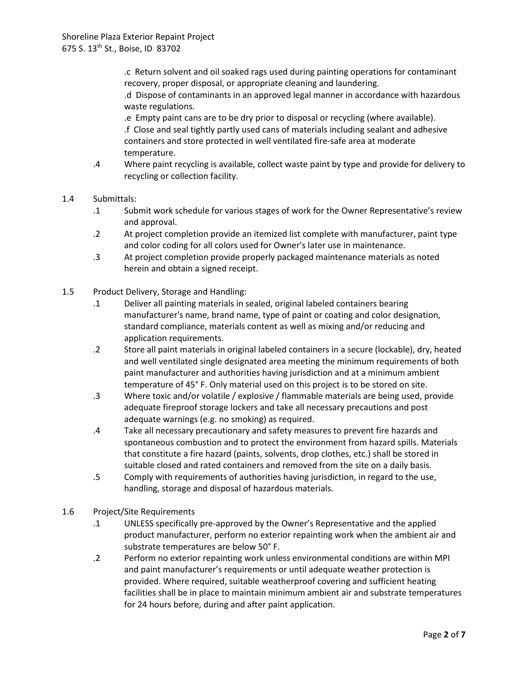.c Return solvent and oil soaked rags used during painting operations for contaminant recovery, proper disposal, or appropriate cleaning and laundering.

.d Dispose of contaminants in an approved legal manner in accordance with hazardous waste regulations.

.e Empty paint cans are to be dry prior to disposal or recycling (where available). .f Close and seal tightly partly used cans of materials including sealant and adhesive containers and store protected in well ventilated fire-safe area at moderate temperature.

.4 Where paint recycling is available, collect waste paint by type and provide for delivery to recycling or collection facility.

#### 1.4 Submittals:

- .1 Submit work schedule for various stages of work for the Owner Representative's review and approval.
- .2 At project completion provide an itemized list complete with manufacturer, paint type and color coding for all colors used for Owner's later use in maintenance.
- .3 At project completion provide properly packaged maintenance materials as noted herein and obtain a signed receipt.
- 1.5 Product Delivery, Storage and Handling:
	- .1 Deliver all painting materials in sealed, original labeled containers bearing manufacturer's name, brand name, type of paint or coating and color designation, standard compliance, materials content as well as mixing and/or reducing and application requirements.
	- .2 Store all paint materials in original labeled containers in a secure (lockable), dry, heated and well ventilated single designated area meeting the minimum requirements of both paint manufacturer and authorities having jurisdiction and at a minimum ambient temperature of 45° F. Only material used on this project is to be stored on site.
	- .3 Where toxic and/or volatile / explosive / flammable materials are being used, provide adequate fireproof storage lockers and take all necessary precautions and post adequate warnings (e.g. no smoking) as required.
	- .4 Take all necessary precautionary and safety measures to prevent fire hazards and spontaneous combustion and to protect the environment from hazard spills. Materials that constitute a fire hazard (paints, solvents, drop clothes, etc.) shall be stored in suitable closed and rated containers and removed from the site on a daily basis.
	- .5 Comply with requirements of authorities having jurisdiction, in regard to the use, handling, storage and disposal of hazardous materials.
- 1.6 Project/Site Requirements
	- .1 UNLESS specifically pre-approved by the Owner's Representative and the applied product manufacturer, perform no exterior repainting work when the ambient air and substrate temperatures are below 50° F.
	- .2 Perform no exterior repainting work unless environmental conditions are within MPI and paint manufacturer's requirements or until adequate weather protection is provided. Where required, suitable weatherproof covering and sufficient heating facilities shall be in place to maintain minimum ambient air and substrate temperatures for 24 hours before, during and after paint application.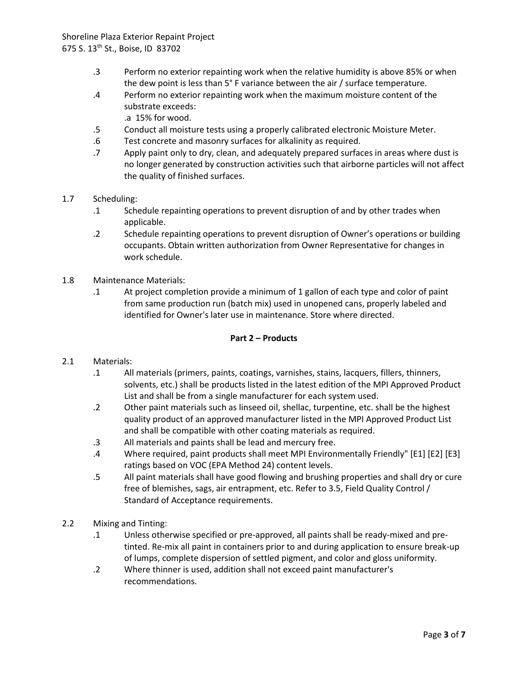- .3 Perform no exterior repainting work when the relative humidity is above 85% or when the dew point is less than 5° F variance between the air / surface temperature.
- .4 Perform no exterior repainting work when the maximum moisture content of the substrate exceeds:
	- .a 15% for wood.
- .5 Conduct all moisture tests using a properly calibrated electronic Moisture Meter.
- .6 Test concrete and masonry surfaces for alkalinity as required.
- .7 Apply paint only to dry, clean, and adequately prepared surfaces in areas where dust is no longer generated by construction activities such that airborne particles will not affect the quality of finished surfaces.
- 1.7 Scheduling:
	- .1 Schedule repainting operations to prevent disruption of and by other trades when applicable.
	- .2 Schedule repainting operations to prevent disruption of Owner's operations or building occupants. Obtain written authorization from Owner Representative for changes in work schedule.
- 1.8 Maintenance Materials:
	- .1 At project completion provide a minimum of 1 gallon of each type and color of paint from same production run (batch mix) used in unopened cans, properly labeled and identified for Owner's later use in maintenance. Store where directed.

# **Part 2 – Products**

- 2.1 Materials:
	- .1 All materials (primers, paints, coatings, varnishes, stains, lacquers, fillers, thinners, solvents, etc.) shall be products listed in the latest edition of the MPI Approved Product List and shall be from a single manufacturer for each system used.
	- .2 Other paint materials such as linseed oil, shellac, turpentine, etc. shall be the highest quality product of an approved manufacturer listed in the MPI Approved Product List and shall be compatible with other coating materials as required.
	- .3 All materials and paints shall be lead and mercury free.
	- .4 Where required, paint products shall meet MPI Environmentally Friendly" [E1] [E2] [E3] ratings based on VOC (EPA Method 24) content levels.
	- .5 All paint materials shall have good flowing and brushing properties and shall dry or cure free of blemishes, sags, air entrapment, etc. Refer to 3.5, Field Quality Control / Standard of Acceptance requirements.
- 2.2 Mixing and Tinting:
	- .1 Unless otherwise specified or pre-approved, all paints shall be ready-mixed and pretinted. Re-mix all paint in containers prior to and during application to ensure break-up of lumps, complete dispersion of settled pigment, and color and gloss uniformity.
	- .2 Where thinner is used, addition shall not exceed paint manufacturer's recommendations.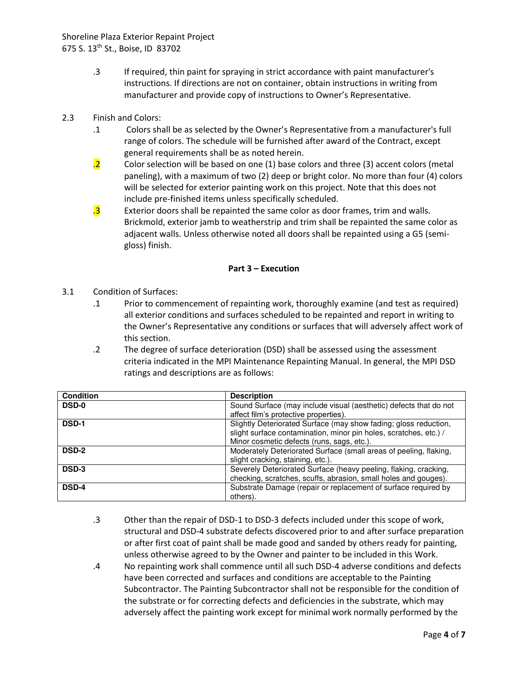- .3 If required, thin paint for spraying in strict accordance with paint manufacturer's instructions. If directions are not on container, obtain instructions in writing from manufacturer and provide copy of instructions to Owner's Representative.
- 2.3 Finish and Colors:
	- .1 Colors shall be as selected by the Owner's Representative from a manufacturer's full range of colors. The schedule will be furnished after award of the Contract, except general requirements shall be as noted herein.
	- $\overline{a}$  Color selection will be based on one (1) base colors and three (3) accent colors (metal paneling), with a maximum of two (2) deep or bright color. No more than four (4) colors will be selected for exterior painting work on this project. Note that this does not include pre-finished items unless specifically scheduled.
	- $\overline{.3}$  Exterior doors shall be repainted the same color as door frames, trim and walls. Brickmold, exterior jamb to weatherstrip and trim shall be repainted the same color as adjacent walls. Unless otherwise noted all doors shall be repainted using a G5 (semigloss) finish.

#### **Part 3 – Execution**

- 3.1 Condition of Surfaces:
	- .1 Prior to commencement of repainting work, thoroughly examine (and test as required) all exterior conditions and surfaces scheduled to be repainted and report in writing to the Owner's Representative any conditions or surfaces that will adversely affect work of this section.
	- .2 The degree of surface deterioration (DSD) shall be assessed using the assessment criteria indicated in the MPI Maintenance Repainting Manual. In general, the MPI DSD ratings and descriptions are as follows:

| Condition    | <b>Description</b>                                                |
|--------------|-------------------------------------------------------------------|
| <b>DSD-0</b> | Sound Surface (may include visual (aesthetic) defects that do not |
|              | affect film's protective properties).                             |
| <b>DSD-1</b> | Slightly Deteriorated Surface (may show fading; gloss reduction,  |
|              | slight surface contamination, minor pin holes, scratches, etc.) / |
|              | Minor cosmetic defects (runs, sags, etc.).                        |
| <b>DSD-2</b> | Moderately Deteriorated Surface (small areas of peeling, flaking, |
|              | slight cracking, staining, etc.).                                 |
| DSD-3        | Severely Deteriorated Surface (heavy peeling, flaking, cracking,  |
|              | checking, scratches, scuffs, abrasion, small holes and gouges).   |
| <b>DSD-4</b> | Substrate Damage (repair or replacement of surface required by    |
|              | others).                                                          |

- .3 Other than the repair of DSD-1 to DSD-3 defects included under this scope of work, structural and DSD-4 substrate defects discovered prior to and after surface preparation or after first coat of paint shall be made good and sanded by others ready for painting, unless otherwise agreed to by the Owner and painter to be included in this Work.
- .4 No repainting work shall commence until all such DSD-4 adverse conditions and defects have been corrected and surfaces and conditions are acceptable to the Painting Subcontractor. The Painting Subcontractor shall not be responsible for the condition of the substrate or for correcting defects and deficiencies in the substrate, which may adversely affect the painting work except for minimal work normally performed by the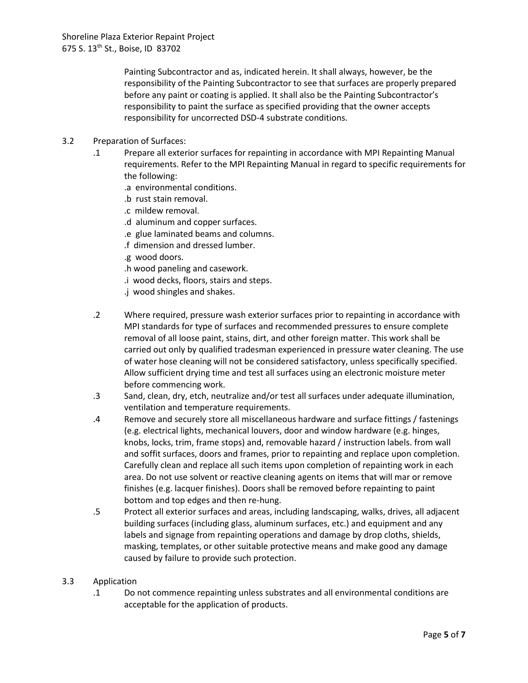Painting Subcontractor and as, indicated herein. It shall always, however, be the responsibility of the Painting Subcontractor to see that surfaces are properly prepared before any paint or coating is applied. It shall also be the Painting Subcontractor's responsibility to paint the surface as specified providing that the owner accepts responsibility for uncorrected DSD-4 substrate conditions.

- 3.2 Preparation of Surfaces:
	- .1 Prepare all exterior surfaces for repainting in accordance with MPI Repainting Manual requirements. Refer to the MPI Repainting Manual in regard to specific requirements for the following:
		- .a environmental conditions.
		- .b rust stain removal.
		- .c mildew removal.
		- .d aluminum and copper surfaces.
		- .e glue laminated beams and columns.
		- .f dimension and dressed lumber.
		- .g wood doors.
		- .h wood paneling and casework.
		- .i wood decks, floors, stairs and steps.
		- .j wood shingles and shakes.
	- .2 Where required, pressure wash exterior surfaces prior to repainting in accordance with MPI standards for type of surfaces and recommended pressures to ensure complete removal of all loose paint, stains, dirt, and other foreign matter. This work shall be carried out only by qualified tradesman experienced in pressure water cleaning. The use of water hose cleaning will not be considered satisfactory, unless specifically specified. Allow sufficient drying time and test all surfaces using an electronic moisture meter before commencing work.
	- .3 Sand, clean, dry, etch, neutralize and/or test all surfaces under adequate illumination, ventilation and temperature requirements.
	- .4 Remove and securely store all miscellaneous hardware and surface fittings / fastenings (e.g. electrical lights, mechanical louvers, door and window hardware (e.g. hinges, knobs, locks, trim, frame stops) and, removable hazard / instruction labels. from wall and soffit surfaces, doors and frames, prior to repainting and replace upon completion. Carefully clean and replace all such items upon completion of repainting work in each area. Do not use solvent or reactive cleaning agents on items that will mar or remove finishes (e.g. lacquer finishes). Doors shall be removed before repainting to paint bottom and top edges and then re-hung.
	- .5 Protect all exterior surfaces and areas, including landscaping, walks, drives, all adjacent building surfaces (including glass, aluminum surfaces, etc.) and equipment and any labels and signage from repainting operations and damage by drop cloths, shields, masking, templates, or other suitable protective means and make good any damage caused by failure to provide such protection.

#### 3.3 Application

.1 Do not commence repainting unless substrates and all environmental conditions are acceptable for the application of products.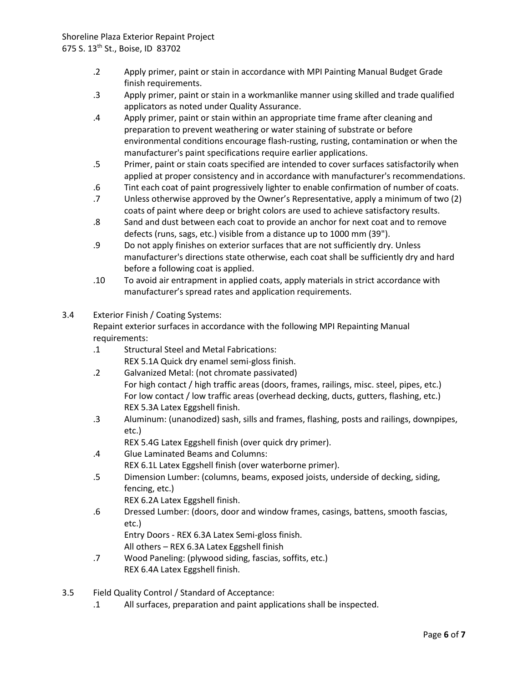- .2 Apply primer, paint or stain in accordance with MPI Painting Manual Budget Grade finish requirements.
- .3 Apply primer, paint or stain in a workmanlike manner using skilled and trade qualified applicators as noted under Quality Assurance.
- .4 Apply primer, paint or stain within an appropriate time frame after cleaning and preparation to prevent weathering or water staining of substrate or before environmental conditions encourage flash-rusting, rusting, contamination or when the manufacturer's paint specifications require earlier applications.
- .5 Primer, paint or stain coats specified are intended to cover surfaces satisfactorily when applied at proper consistency and in accordance with manufacturer's recommendations.
- .6 Tint each coat of paint progressively lighter to enable confirmation of number of coats.
- .7 Unless otherwise approved by the Owner's Representative, apply a minimum of two (2) coats of paint where deep or bright colors are used to achieve satisfactory results.
- .8 Sand and dust between each coat to provide an anchor for next coat and to remove defects (runs, sags, etc.) visible from a distance up to 1000 mm (39").
- .9 Do not apply finishes on exterior surfaces that are not sufficiently dry. Unless manufacturer's directions state otherwise, each coat shall be sufficiently dry and hard before a following coat is applied.
- .10 To avoid air entrapment in applied coats, apply materials in strict accordance with manufacturer's spread rates and application requirements.
- 3.4 Exterior Finish / Coating Systems:

Repaint exterior surfaces in accordance with the following MPI Repainting Manual requirements:

.1 Structural Steel and Metal Fabrications:

REX 5.1A Quick dry enamel semi-gloss finish.

- .2 Galvanized Metal: (not chromate passivated) For high contact / high traffic areas (doors, frames, railings, misc. steel, pipes, etc.) For low contact / low traffic areas (overhead decking, ducts, gutters, flashing, etc.) REX 5.3A Latex Eggshell finish.
- .3 Aluminum: (unanodized) sash, sills and frames, flashing, posts and railings, downpipes, etc.)
	- REX 5.4G Latex Eggshell finish (over quick dry primer).
- .4 Glue Laminated Beams and Columns: REX 6.1L Latex Eggshell finish (over waterborne primer).
- .5 Dimension Lumber: (columns, beams, exposed joists, underside of decking, siding, fencing, etc.)

REX 6.2A Latex Eggshell finish.

.6 Dressed Lumber: (doors, door and window frames, casings, battens, smooth fascias, etc.)

Entry Doors - REX 6.3A Latex Semi-gloss finish.

All others – REX 6.3A Latex Eggshell finish

- .7 Wood Paneling: (plywood siding, fascias, soffits, etc.) REX 6.4A Latex Eggshell finish.
- 3.5 Field Quality Control / Standard of Acceptance:
	- .1 All surfaces, preparation and paint applications shall be inspected.